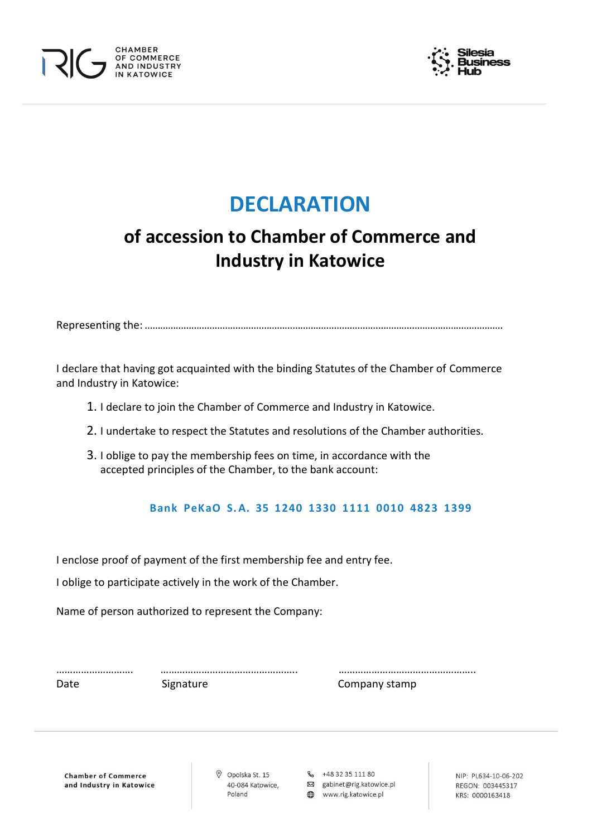



# **DECLARATION**

## **of accession to Chamber of Commerce and Industry in Katowice**

Representing the: …………………………………………………………………………………………………………………………

I declare that having got acquainted with the binding Statutes of the Chamber of Commerce and Industry in Katowice:

- 1. I declare to join the Chamber of Commerce and Industry in Katowice.
- 2. I undertake to respect the Statutes and resolutions of the Chamber authorities.
- 3. I oblige to pay the membership fees on time, in accordance with the accepted principles of the Chamber, to the bank account:

### **Bank PeKaO S. A. 35 1240 1330 1111 0010 4823 1399**

I enclose proof of payment of the first membership fee and entry fee.

I oblige to participate actively in the work of the Chamber.

Name of person authorized to represent the Company:

Date Signature Signature Company stamp

………………………. ………………………………………….. …………………………………………..

**Chamber of Commerce** and Industry in Katowice O Opolska St. 15 40-084 Katowice, Poland

R<sub>2</sub> +48 32 35 111 80 図 gabinet@rig.katowice.pl

www.rig.katowice.pl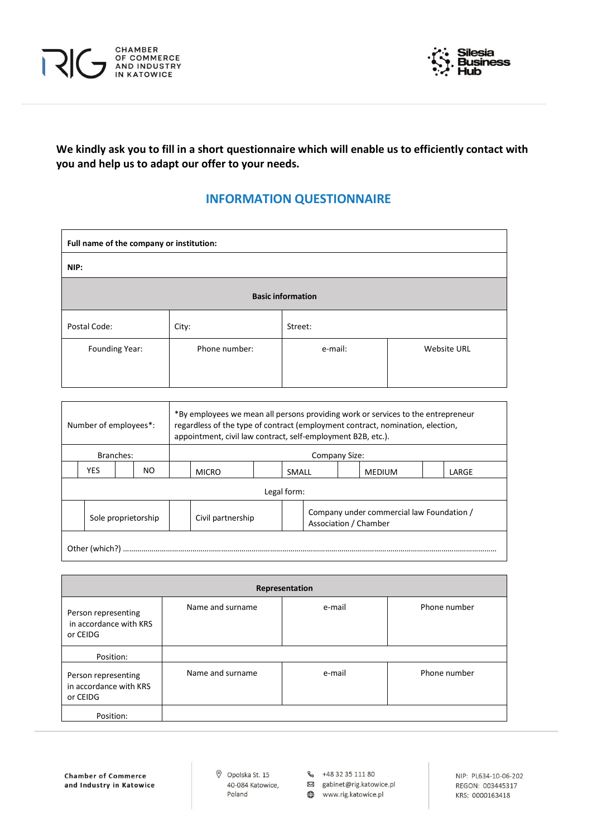



**We kindly ask you to fill in a short questionnaire which will enable us to efficiently contact with you and help us to adapt our offer to your needs.**

### **INFORMATION QUESTIONNAIRE**

| Full name of the company or institution: |               |                          |                    |
|------------------------------------------|---------------|--------------------------|--------------------|
| NIP:                                     |               |                          |                    |
|                                          |               | <b>Basic information</b> |                    |
| Postal Code:                             | City:         | Street:                  |                    |
| Founding Year:                           | Phone number: | e-mail:                  | <b>Website URL</b> |
|                                          |               |                          |                    |

|                | Number of employees*: | appointment, civil law contract, self-employment B2B, etc.). |                        |             |               | *By employees we mean all persons providing work or services to the entrepreneur<br>regardless of the type of contract (employment contract, nomination, election, |  |
|----------------|-----------------------|--------------------------------------------------------------|------------------------|-------------|---------------|--------------------------------------------------------------------------------------------------------------------------------------------------------------------|--|
| Branches:      |                       |                                                              |                        |             | Company Size: |                                                                                                                                                                    |  |
| YES            | NO                    | <b>MICRO</b>                                                 | SMALL<br><b>MEDIUM</b> |             | LARGE         |                                                                                                                                                                    |  |
|                |                       |                                                              |                        | Legal form: |               |                                                                                                                                                                    |  |
|                | Sole proprietorship   | Civil partnership                                            |                        |             |               | Company under commercial law Foundation /<br>Association / Chamber                                                                                                 |  |
| Other (which?) |                       |                                                              |                        |             |               |                                                                                                                                                                    |  |

|                                                           |                  | Representation |              |
|-----------------------------------------------------------|------------------|----------------|--------------|
| Person representing<br>in accordance with KRS<br>or CEIDG | Name and surname | e-mail         | Phone number |
| Position:                                                 |                  |                |              |
| Person representing<br>in accordance with KRS<br>or CEIDG | Name and surname | e-mail         | Phone number |
| Position:                                                 |                  |                |              |

**Chamber of Commerce** and Industry in Katowice  $\oslash$  Opolska St. 15 40-084 Katowice, Poland

& +48 32 35 111 80

⊠ gabinet@rig.katowice.pl

www.rig.katowice.pl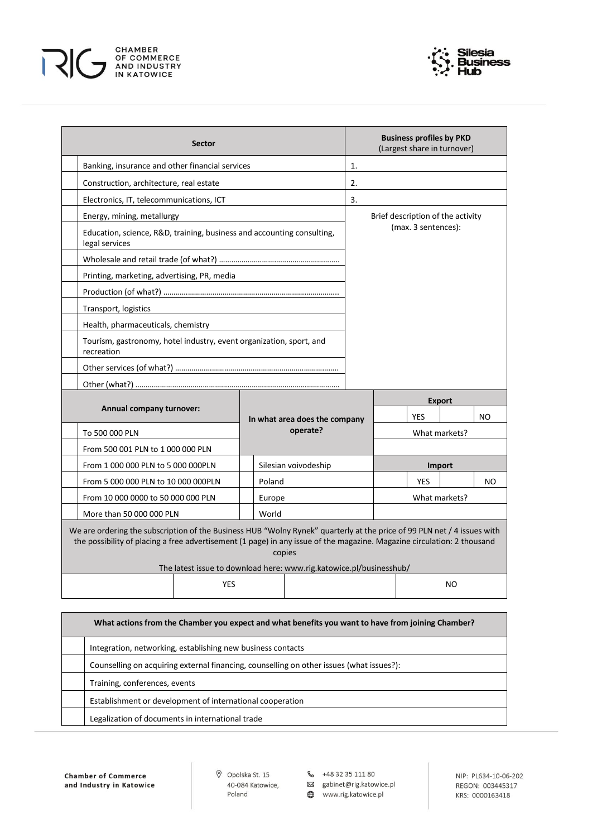



| <b>Sector</b>                                                                                                                                                                                                                                      |            |                                                                               |    |                                   |            | <b>Business profiles by PKD</b><br>(Largest share in turnover) |     |
|----------------------------------------------------------------------------------------------------------------------------------------------------------------------------------------------------------------------------------------------------|------------|-------------------------------------------------------------------------------|----|-----------------------------------|------------|----------------------------------------------------------------|-----|
| Banking, insurance and other financial services                                                                                                                                                                                                    |            |                                                                               | 1. |                                   |            |                                                                |     |
| Construction, architecture, real estate<br>2.                                                                                                                                                                                                      |            |                                                                               |    |                                   |            |                                                                |     |
| Electronics, IT, telecommunications, ICT                                                                                                                                                                                                           |            |                                                                               | 3. |                                   |            |                                                                |     |
| Energy, mining, metallurgy                                                                                                                                                                                                                         |            |                                                                               |    | Brief description of the activity |            |                                                                |     |
| Education, science, R&D, training, business and accounting consulting,<br>legal services                                                                                                                                                           |            |                                                                               |    | (max. 3 sentences):               |            |                                                                |     |
|                                                                                                                                                                                                                                                    |            |                                                                               |    |                                   |            |                                                                |     |
| Printing, marketing, advertising, PR, media                                                                                                                                                                                                        |            |                                                                               |    |                                   |            |                                                                |     |
|                                                                                                                                                                                                                                                    |            |                                                                               |    |                                   |            |                                                                |     |
| Transport, logistics                                                                                                                                                                                                                               |            |                                                                               |    |                                   |            |                                                                |     |
| Health, pharmaceuticals, chemistry                                                                                                                                                                                                                 |            |                                                                               |    |                                   |            |                                                                |     |
| Tourism, gastronomy, hotel industry, event organization, sport, and<br>recreation                                                                                                                                                                  |            |                                                                               |    |                                   |            |                                                                |     |
|                                                                                                                                                                                                                                                    |            |                                                                               |    |                                   |            |                                                                |     |
|                                                                                                                                                                                                                                                    |            |                                                                               |    |                                   |            |                                                                |     |
| Annual company turnover:                                                                                                                                                                                                                           |            | In what area does the company                                                 |    |                                   | <b>YES</b> | <b>Export</b>                                                  | NO. |
| To 500 000 PLN                                                                                                                                                                                                                                     |            | operate?                                                                      |    | What markets?                     |            |                                                                |     |
| From 500 001 PLN to 1 000 000 PLN                                                                                                                                                                                                                  |            |                                                                               |    |                                   |            |                                                                |     |
| From 1 000 000 PLN to 5 000 000PLN                                                                                                                                                                                                                 |            | Silesian voivodeship                                                          |    |                                   |            | <b>Import</b>                                                  |     |
| From 5 000 000 PLN to 10 000 000 PLN                                                                                                                                                                                                               | Poland     |                                                                               |    |                                   | <b>YES</b> |                                                                | NO  |
| From 10 000 0000 to 50 000 000 PLN                                                                                                                                                                                                                 | Europe     |                                                                               |    |                                   |            | What markets?                                                  |     |
| More than 50 000 000 PLN                                                                                                                                                                                                                           | World      |                                                                               |    |                                   |            |                                                                |     |
| We are ordering the subscription of the Business HUB "Wolny Rynek" quarterly at the price of 99 PLN net / 4 issues with<br>the possibility of placing a free advertisement (1 page) in any issue of the magazine. Magazine circulation: 2 thousand |            | copies<br>The latest issue to download here: www.rig.katowice.pl/businesshub/ |    |                                   |            |                                                                |     |
|                                                                                                                                                                                                                                                    | <b>YES</b> |                                                                               |    |                                   |            | <b>NO</b>                                                      |     |

| What actions from the Chamber you expect and what benefits you want to have from joining Chamber? |
|---------------------------------------------------------------------------------------------------|
| Integration, networking, establishing new business contacts                                       |
| Counselling on acquiring external financing, counselling on other issues (what issues?):          |
| Training, conferences, events                                                                     |
| Establishment or development of international cooperation                                         |
| Legalization of documents in international trade                                                  |

**Chamber of Commerce** and Industry in Katowice 40-084 Katowice, Poland

© Opolska St. 15 ↓ 48 32 35 111 80

⊠ gabinet@rig.katowice.pl

www.rig.katowice.pl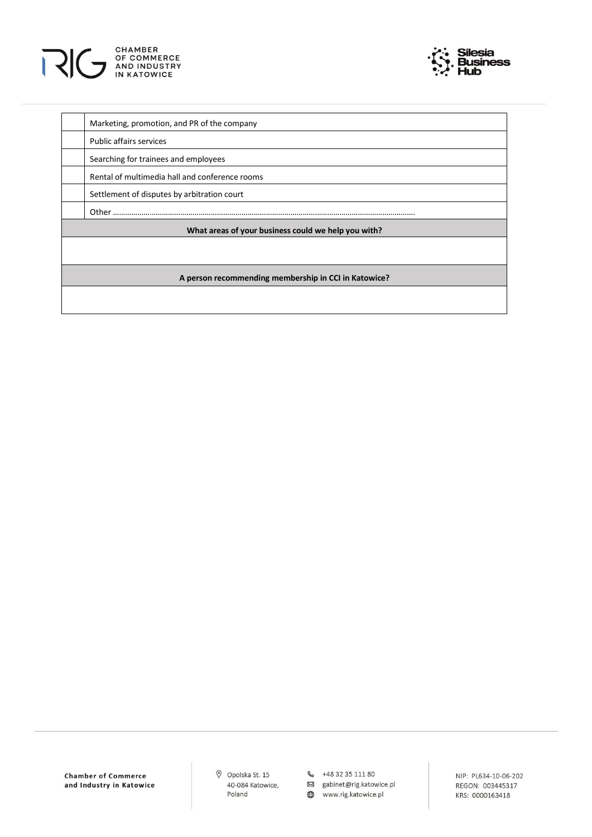



| Marketing, promotion, and PR of the company          |
|------------------------------------------------------|
| <b>Public affairs services</b>                       |
| Searching for trainees and employees                 |
| Rental of multimedia hall and conference rooms       |
| Settlement of disputes by arbitration court          |
| Other                                                |
| What areas of your business could we help you with?  |
|                                                      |
|                                                      |
| A person recommending membership in CCI in Katowice? |

Opolska St. 15 40-084 Katowice, Poland

& +48 32 35 111 80

⊠ gabinet@rig.katowice.pl www.rig.katowice.pl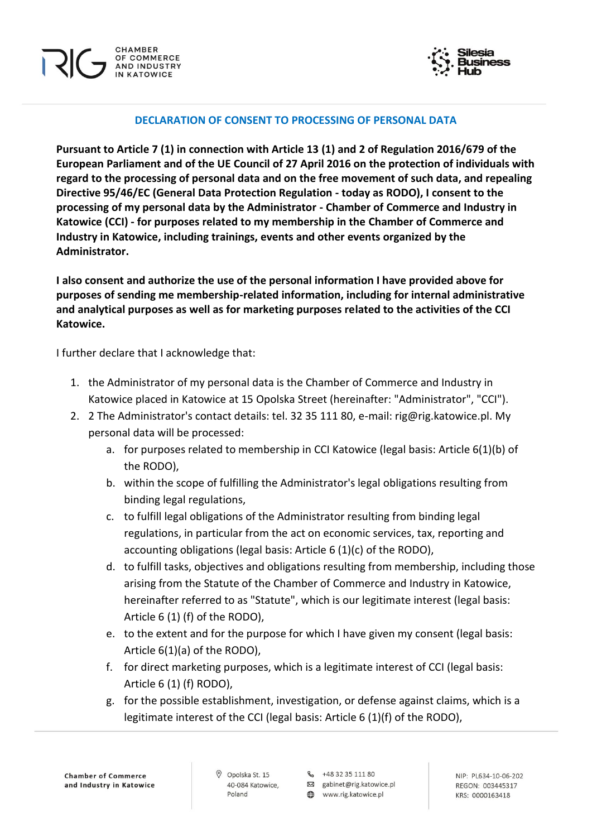

#### **DECLARATION OF CONSENT TO PROCESSING OF PERSONAL DATA**

**Pursuant to Article 7 (1) in connection with Article 13 (1) and 2 of Regulation 2016/679 of the European Parliament and of the UE Council of 27 April 2016 on the protection of individuals with regard to the processing of personal data and on the free movement of such data, and repealing Directive 95/46/EC (General Data Protection Regulation - today as RODO), I consent to the processing of my personal data by the Administrator - Chamber of Commerce and Industry in Katowice (CCI) - for purposes related to my membership in the Chamber of Commerce and Industry in Katowice, including trainings, events and other events organized by the Administrator.**

**I also consent and authorize the use of the personal information I have provided above for purposes of sending me membership-related information, including for internal administrative and analytical purposes as well as for marketing purposes related to the activities of the CCI Katowice.**

I further declare that I acknowledge that:

- 1. the Administrator of my personal data is the Chamber of Commerce and Industry in Katowice placed in Katowice at 15 Opolska Street (hereinafter: "Administrator", "CCI").
- 2. 2 The Administrator's contact details: tel. 32 35 111 80, e-mail: rig@rig.katowice.pl. My personal data will be processed:
	- a. for purposes related to membership in CCI Katowice (legal basis: Article 6(1)(b) of the RODO),
	- b. within the scope of fulfilling the Administrator's legal obligations resulting from binding legal regulations,
	- c. to fulfill legal obligations of the Administrator resulting from binding legal regulations, in particular from the act on economic services, tax, reporting and accounting obligations (legal basis: Article 6 (1)(c) of the RODO),
	- d. to fulfill tasks, objectives and obligations resulting from membership, including those arising from the Statute of the Chamber of Commerce and Industry in Katowice, hereinafter referred to as "Statute", which is our legitimate interest (legal basis: Article 6 (1) (f) of the RODO),
	- e. to the extent and for the purpose for which I have given my consent (legal basis: Article 6(1)(a) of the RODO),
	- f. for direct marketing purposes, which is a legitimate interest of CCI (legal basis: Article 6 (1) (f) RODO),
	- g. for the possible establishment, investigation, or defense against claims, which is a legitimate interest of the CCI (legal basis: Article 6 (1)(f) of the RODO),

R<sub>2</sub> +48 32 35 111 80

図 gabinet@rig.katowice.pl www.rig.katowice.pl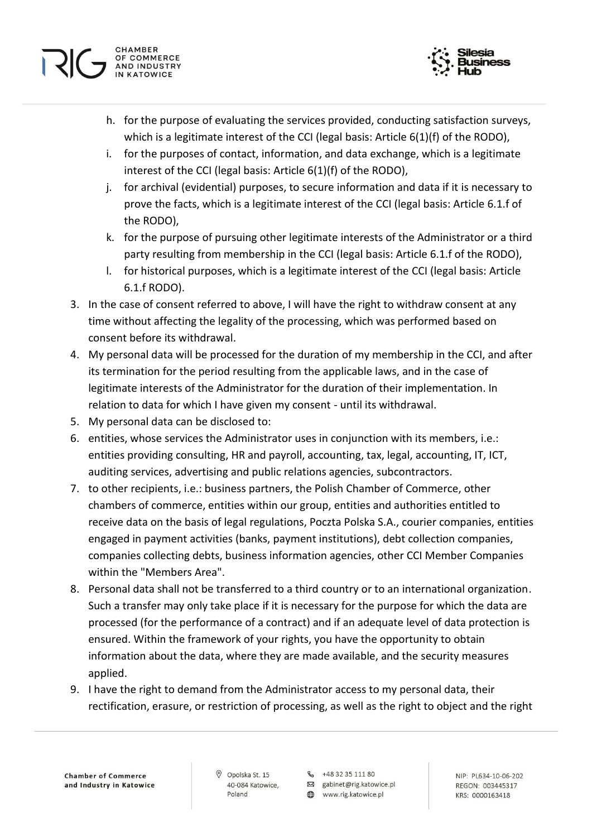



- h. for the purpose of evaluating the services provided, conducting satisfaction surveys, which is a legitimate interest of the CCI (legal basis: Article 6(1)(f) of the RODO),
- i. for the purposes of contact, information, and data exchange, which is a legitimate interest of the CCI (legal basis: Article 6(1)(f) of the RODO),
- j. for archival (evidential) purposes, to secure information and data if it is necessary to prove the facts, which is a legitimate interest of the CCI (legal basis: Article 6.1.f of the RODO),
- k. for the purpose of pursuing other legitimate interests of the Administrator or a third party resulting from membership in the CCI (legal basis: Article 6.1.f of the RODO),
- l. for historical purposes, which is a legitimate interest of the CCI (legal basis: Article 6.1.f RODO).
- 3. In the case of consent referred to above, I will have the right to withdraw consent at any time without affecting the legality of the processing, which was performed based on consent before its withdrawal.
- 4. My personal data will be processed for the duration of my membership in the CCI, and after its termination for the period resulting from the applicable laws, and in the case of legitimate interests of the Administrator for the duration of their implementation. In relation to data for which I have given my consent - until its withdrawal.
- 5. My personal data can be disclosed to:
- 6. entities, whose services the Administrator uses in conjunction with its members, i.e.: entities providing consulting, HR and payroll, accounting, tax, legal, accounting, IT, ICT, auditing services, advertising and public relations agencies, subcontractors.
- 7. to other recipients, i.e.: business partners, the Polish Chamber of Commerce, other chambers of commerce, entities within our group, entities and authorities entitled to receive data on the basis of legal regulations, Poczta Polska S.A., courier companies, entities engaged in payment activities (banks, payment institutions), debt collection companies, companies collecting debts, business information agencies, other CCI Member Companies within the "Members Area".
- 8. Personal data shall not be transferred to a third country or to an international organization. Such a transfer may only take place if it is necessary for the purpose for which the data are processed (for the performance of a contract) and if an adequate level of data protection is ensured. Within the framework of your rights, you have the opportunity to obtain information about the data, where they are made available, and the security measures applied.
- 9. I have the right to demand from the Administrator access to my personal data, their rectification, erasure, or restriction of processing, as well as the right to object and the right

O Opolska St. 15 40-084 Katowice, Poland

& +48 32 35 111 80 図 gabinet@rig.katowice.pl

www.rig.katowice.pl